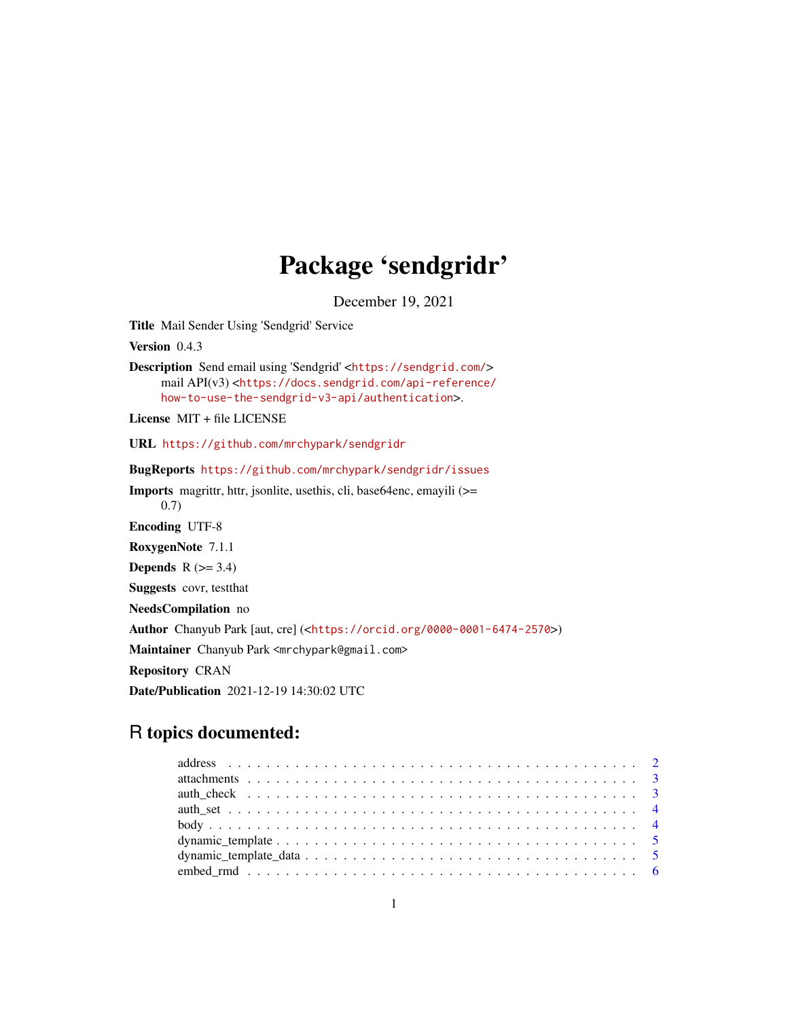## Package 'sendgridr'

December 19, 2021

<span id="page-0-0"></span>Title Mail Sender Using 'Sendgrid' Service

Version 0.4.3

Description Send email using 'Sendgrid' <<https://sendgrid.com/>> mail API(v3) <[https://docs.sendgrid.com/api-reference/](https://docs.sendgrid.com/api-reference/how-to-use-the-sendgrid-v3-api/authentication) [how-to-use-the-sendgrid-v3-api/authentication](https://docs.sendgrid.com/api-reference/how-to-use-the-sendgrid-v3-api/authentication)>.

License MIT + file LICENSE

URL <https://github.com/mrchypark/sendgridr>

BugReports <https://github.com/mrchypark/sendgridr/issues>

Imports magrittr, httr, jsonlite, usethis, cli, base64enc, emayili (>= 0.7) Encoding UTF-8 RoxygenNote 7.1.1 **Depends**  $R$  ( $>= 3.4$ ) Suggests covr, testthat NeedsCompilation no Author Chanyub Park [aut, cre] (<<https://orcid.org/0000-0001-6474-2570>>) Maintainer Chanyub Park <mrchypark@gmail.com> Repository CRAN Date/Publication 2021-12-19 14:30:02 UTC

### R topics documented: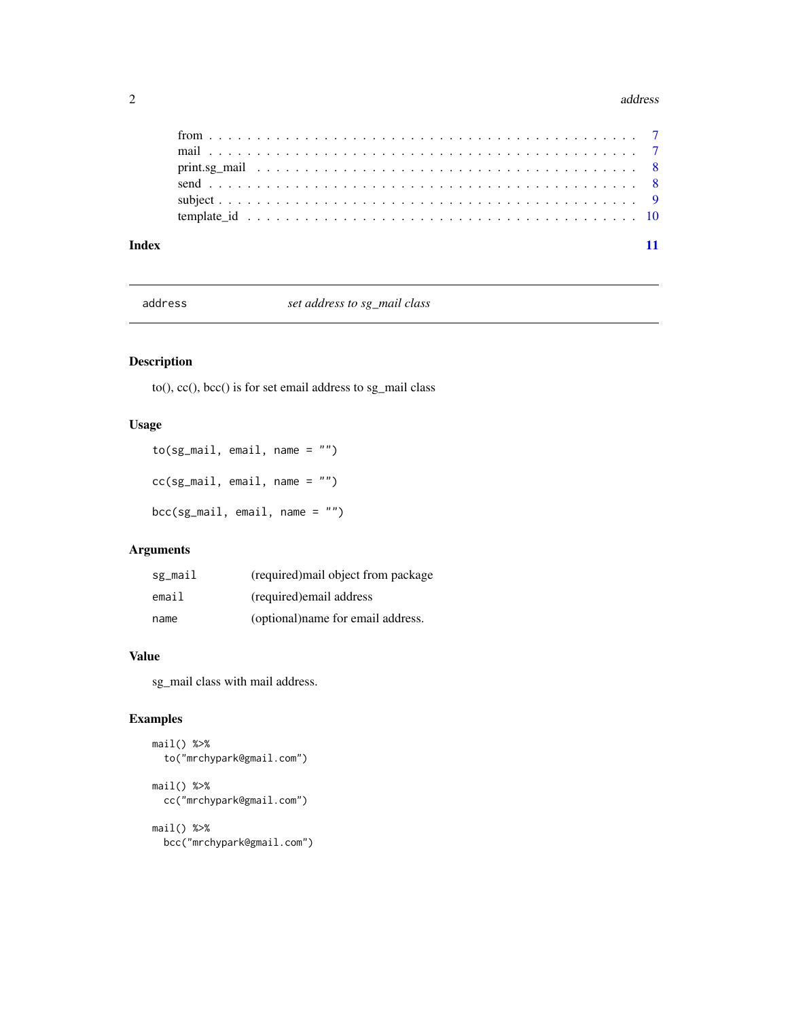#### <span id="page-1-0"></span>2 address and  $\alpha$  and  $\alpha$  and  $\alpha$  and  $\alpha$  and  $\alpha$  and  $\alpha$  and  $\alpha$  and  $\alpha$  and  $\alpha$  and  $\alpha$  and  $\alpha$  and  $\alpha$  and  $\alpha$  and  $\alpha$  and  $\alpha$  and  $\alpha$  and  $\alpha$  and  $\alpha$  and  $\alpha$  and  $\alpha$  and  $\alpha$  and  $\alpha$  and  $\alpha$  and

| Index |  |  |  |  |  |  |  |  |  |  |  |  |  |  |  |  |  |  |  |
|-------|--|--|--|--|--|--|--|--|--|--|--|--|--|--|--|--|--|--|--|

address *set address to sg\_mail class*

#### Description

to(), cc(), bcc() is for set email address to sg\_mail class

#### Usage

```
to(sg_mail, email, name = "")
cc(sg_mail, email, name = "")
bcc(sg_mail, email, name = "")
```
#### Arguments

| sg_mail | (required) mail object from package |
|---------|-------------------------------------|
| email   | (required) email address            |
| name    | (optional)name for email address.   |

#### Value

sg\_mail class with mail address.

#### Examples

```
mail() %>%
  to("mrchypark@gmail.com")
mail() %>%
  cc("mrchypark@gmail.com")
mail() %>%
```
bcc("mrchypark@gmail.com")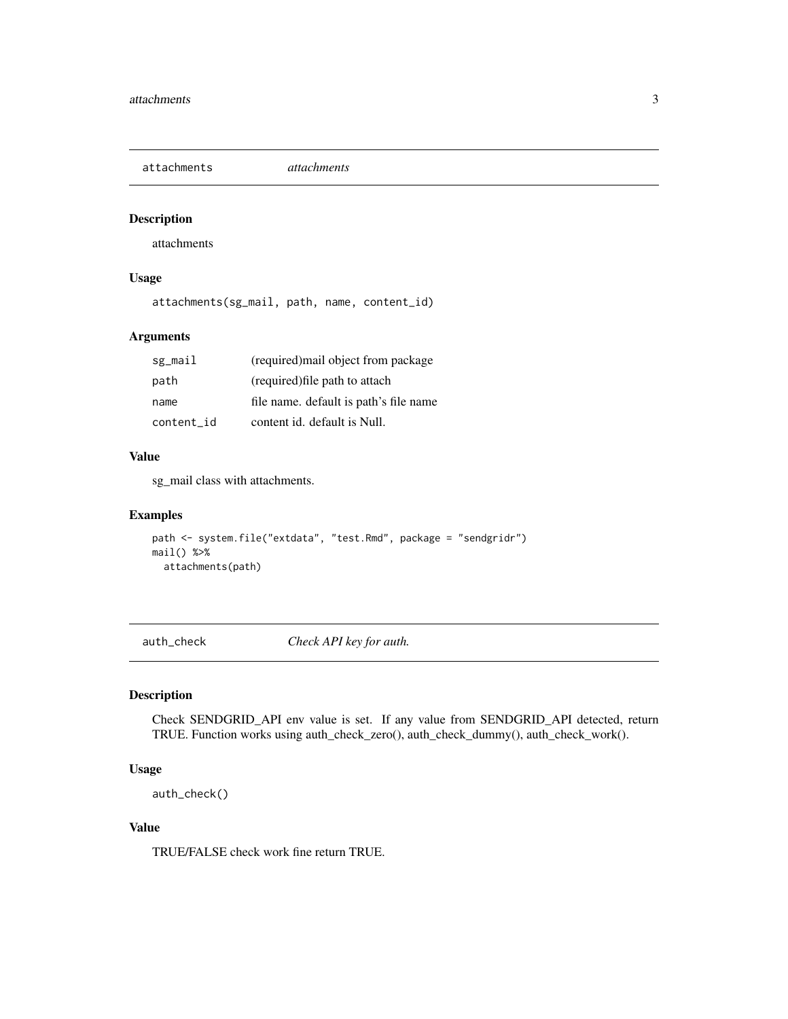<span id="page-2-0"></span>attachments *attachments*

#### Description

attachments

#### Usage

attachments(sg\_mail, path, name, content\_id)

#### Arguments

| sg_mail    | (required) mail object from package    |
|------------|----------------------------------------|
| path       | (required) file path to attach         |
| name       | file name. default is path's file name |
| content id | content id. default is Null.           |

#### Value

sg\_mail class with attachments.

#### Examples

```
path <- system.file("extdata", "test.Rmd", package = "sendgridr")
mail() %>%
  attachments(path)
```
auth\_check *Check API key for auth.*

#### Description

Check SENDGRID\_API env value is set. If any value from SENDGRID\_API detected, return TRUE. Function works using auth\_check\_zero(), auth\_check\_dummy(), auth\_check\_work().

#### Usage

```
auth_check()
```
#### Value

TRUE/FALSE check work fine return TRUE.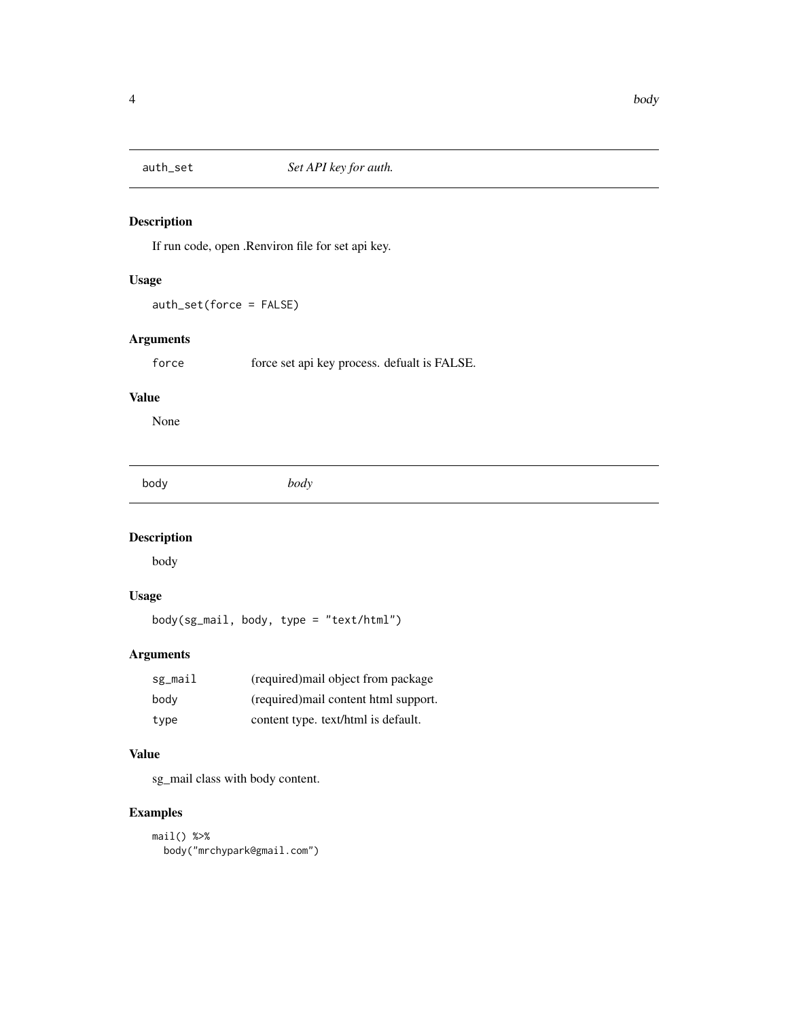<span id="page-3-0"></span>

#### Description

If run code, open .Renviron file for set api key.

#### Usage

auth\_set(force = FALSE)

#### Arguments

force force set api key process. defualt is FALSE.

#### Value

None

body *body*

#### Description

body

#### Usage

body(sg\_mail, body, type = "text/html")

#### Arguments

| sg_mail | (required) mail object from package   |
|---------|---------------------------------------|
| bodv    | (required) mail content html support. |
| type    | content type. text/html is default.   |

#### Value

sg\_mail class with body content.

```
mail() %>%
 body("mrchypark@gmail.com")
```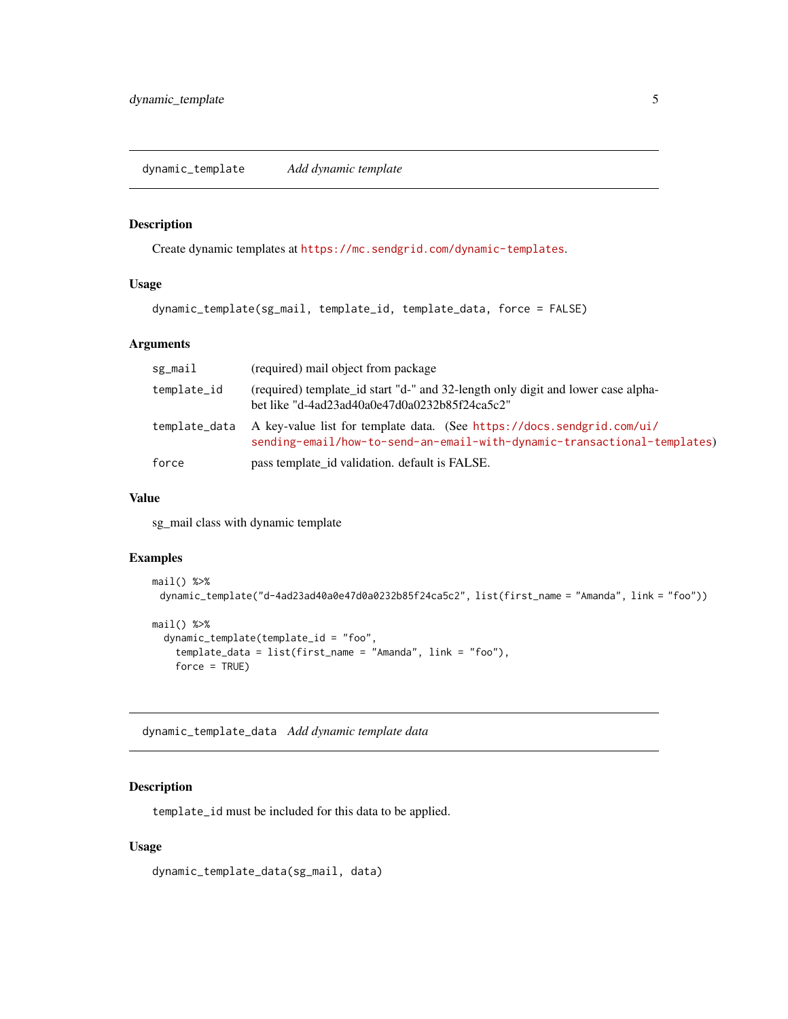#### <span id="page-4-0"></span>Description

Create dynamic templates at <https://mc.sendgrid.com/dynamic-templates>.

#### Usage

```
dynamic_template(sg_mail, template_id, template_data, force = FALSE)
```
#### Arguments

| sg_mail       | (required) mail object from package                                                                                                                |
|---------------|----------------------------------------------------------------------------------------------------------------------------------------------------|
| template_id   | (required) template_id start "d-" and 32-length only digit and lower case alpha-<br>bet like "d-4ad23ad40a0e47d0a0232b85f24ca5c2"                  |
| template_data | A key-value list for template data. (See https://docs.sendgrid.com/ui/<br>sending-email/how-to-send-an-email-with-dynamic-transactional-templates) |
| force         | pass template_id validation. default is FALSE.                                                                                                     |

#### Value

sg\_mail class with dynamic template

#### Examples

```
mail() %>%
 dynamic_template("d-4ad23ad40a0e47d0a0232b85f24ca5c2", list(first_name = "Amanda", link = "foo"))
mail() % > %dynamic_template(template_id = "foo",
    template_data = list(first_name = "Amanda", link = "foo"),
    force = TRUE)
```
dynamic\_template\_data *Add dynamic template data*

#### Description

template\_id must be included for this data to be applied.

#### Usage

dynamic\_template\_data(sg\_mail, data)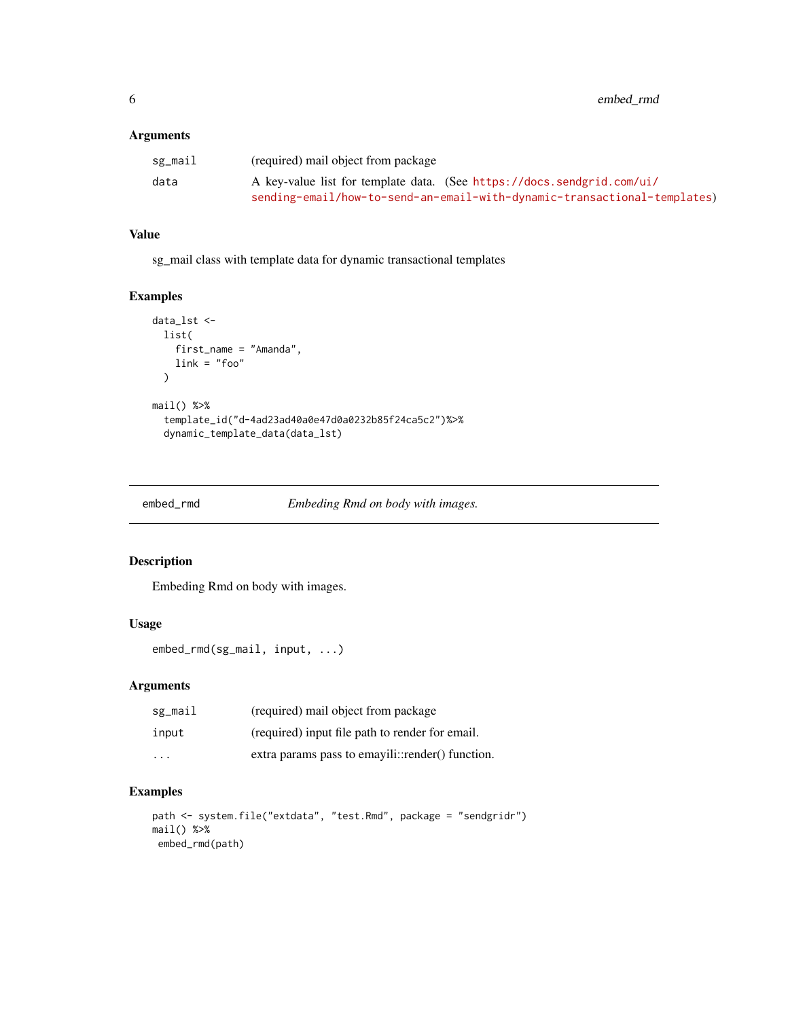#### <span id="page-5-0"></span>Arguments

| sg_mail | (required) mail object from package                                      |
|---------|--------------------------------------------------------------------------|
| data    | A key-value list for template data. (See https://docs.sendgrid.com/ui/   |
|         | sending-email/how-to-send-an-email-with-dynamic-transactional-templates) |

#### Value

sg\_mail class with template data for dynamic transactional templates

#### Examples

```
data_lst <-
 list(
    first_name = "Amanda",
    link = "foo"
  \lambdamail() %>%
  template_id("d-4ad23ad40a0e47d0a0232b85f24ca5c2")%>%
  dynamic_template_data(data_lst)
```
embed\_rmd *Embeding Rmd on body with images.*

#### Description

Embeding Rmd on body with images.

#### Usage

```
embed_rmd(sg_mail, input, ...)
```
#### Arguments

| sg_mail                 | (required) mail object from package              |
|-------------------------|--------------------------------------------------|
| input                   | (required) input file path to render for email.  |
| $\cdot$ $\cdot$ $\cdot$ | extra params pass to emayili::render() function. |

```
path <- system.file("extdata", "test.Rmd", package = "sendgridr")
mail() %>%
embed_rmd(path)
```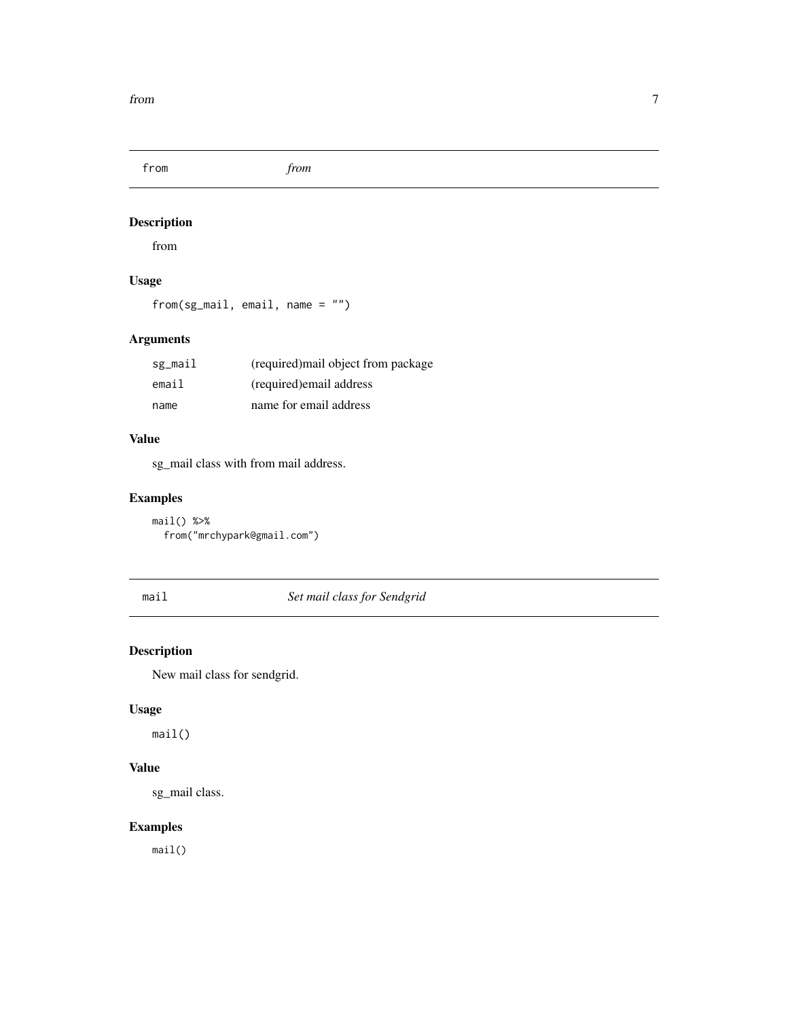<span id="page-6-0"></span>

#### Description

from

#### Usage

from(sg\_mail, email, name = "")

#### Arguments

| sg_mail | (required) mail object from package |
|---------|-------------------------------------|
| email   | (required) email address            |
| name    | name for email address              |

#### Value

sg\_mail class with from mail address.

#### Examples

```
mail() %>%
  from("mrchypark@gmail.com")
```
mail *Set mail class for Sendgrid*

#### Description

New mail class for sendgrid.

#### Usage

mail()

#### Value

sg\_mail class.

#### Examples

mail()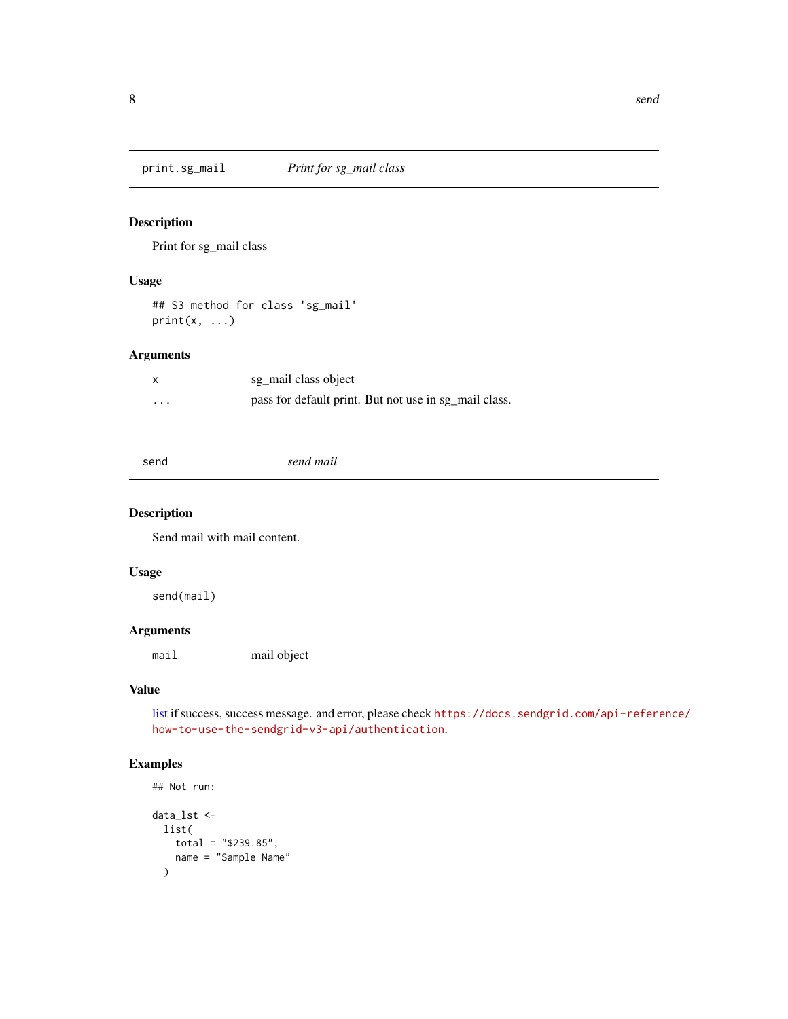<span id="page-7-0"></span>print.sg\_mail *Print for sg\_mail class*

#### Description

Print for sg\_mail class

#### Usage

```
## S3 method for class 'sg_mail'
print(x, \ldots)
```
#### Arguments

| X        | sg_mail class object                                  |
|----------|-------------------------------------------------------|
| $\cdots$ | pass for default print. But not use in sg_mail class. |

```
send send mail
```
#### Description

Send mail with mail content.

#### Usage

send(mail)

#### Arguments

mail mail object

#### Value

[list](#page-0-0) if success, success message. and error, please check [https://docs.sendgrid.com/api-refere](https://docs.sendgrid.com/api-reference/how-to-use-the-sendgrid-v3-api/authentication)nce/ [how-to-use-the-sendgrid-v3-api/authentication](https://docs.sendgrid.com/api-reference/how-to-use-the-sendgrid-v3-api/authentication).

```
## Not run:
data_lst <-
 list(
   total = "$239.85",
   name = "Sample Name"
  )
```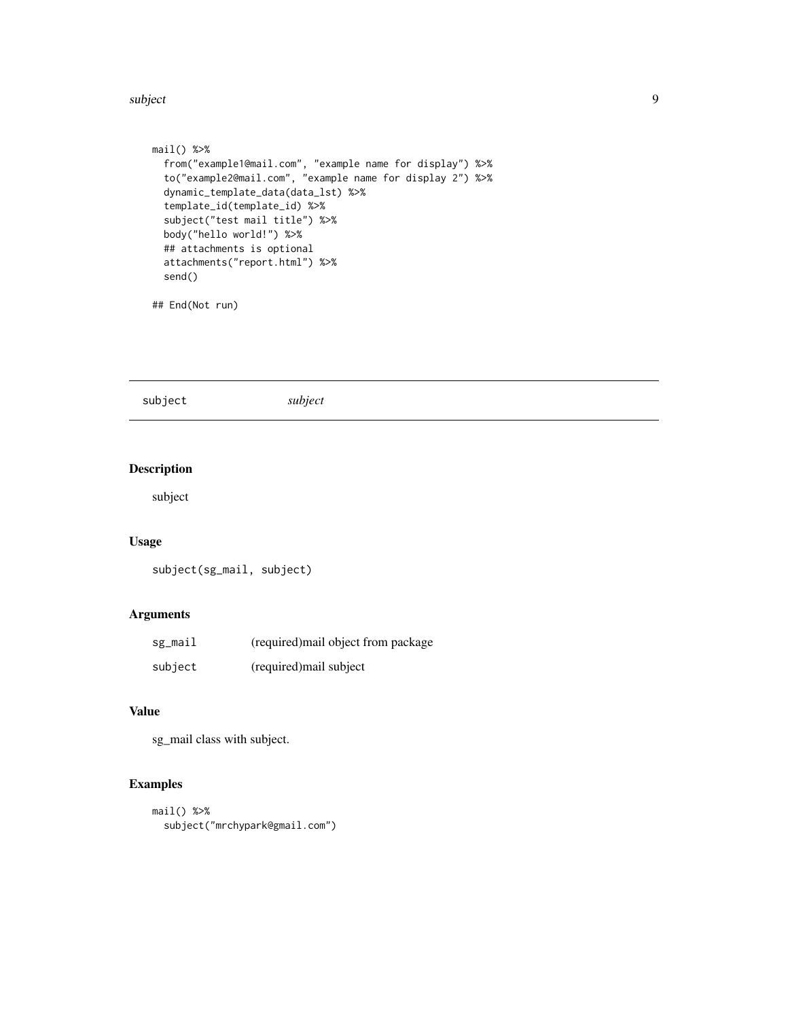#### <span id="page-8-0"></span>subject that the contract of the contract of the contract of the contract of the contract of the contract of the contract of the contract of the contract of the contract of the contract of the contract of the contract of t

```
mail() %>%
  from("example1@mail.com", "example name for display") %>%
  to("example2@mail.com", "example name for display 2") %>%
  dynamic_template_data(data_lst) %>%
  template_id(template_id) %>%
  subject("test mail title") %>%
  body("hello world!") %>%
  ## attachments is optional
  attachments("report.html") %>%
  send()
```
## End(Not run)

subject *subject*

#### Description

subject

#### Usage

subject(sg\_mail, subject)

#### Arguments

| sg_mail | (required) mail object from package |
|---------|-------------------------------------|
| subject | (required) mail subject             |

#### Value

sg\_mail class with subject.

```
mail() %>%
 subject("mrchypark@gmail.com")
```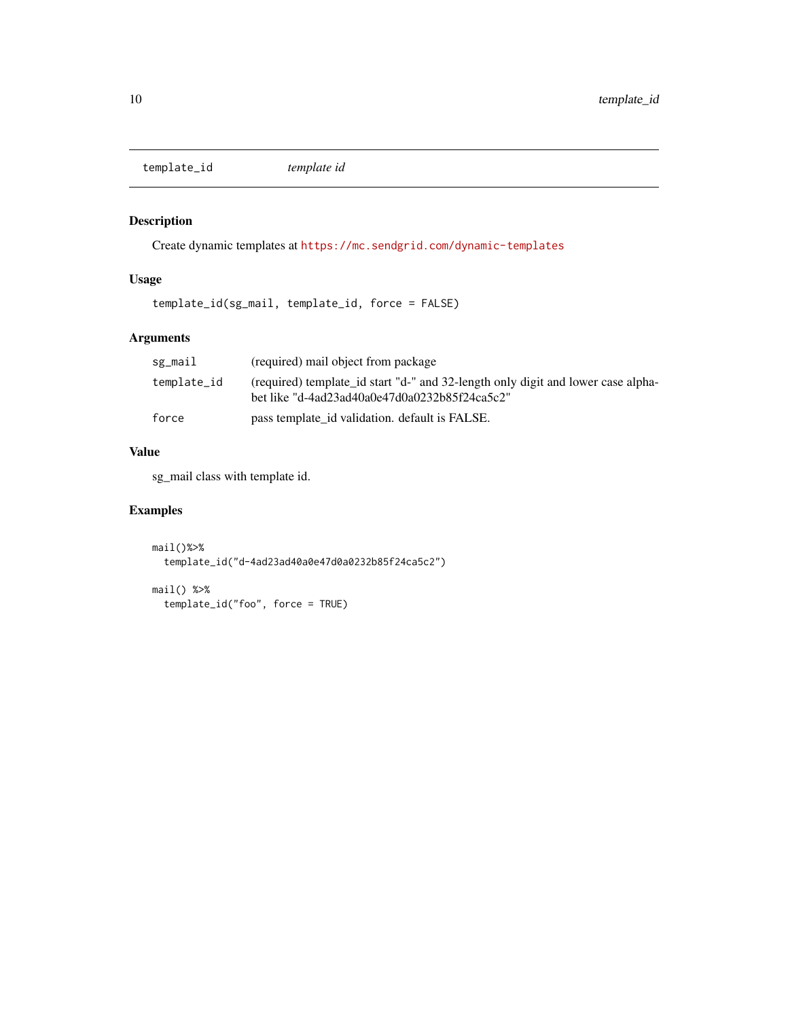<span id="page-9-0"></span>template\_id *template id*

#### Description

Create dynamic templates at <https://mc.sendgrid.com/dynamic-templates>

#### Usage

template\_id(sg\_mail, template\_id, force = FALSE)

#### Arguments

| sg_mail     | (required) mail object from package                                                                                               |
|-------------|-----------------------------------------------------------------------------------------------------------------------------------|
| template_id | (required) template_id start "d-" and 32-length only digit and lower case alpha-<br>bet like "d-4ad23ad40a0e47d0a0232b85f24ca5c2" |
| force       | pass template_id validation. default is FALSE.                                                                                    |

#### Value

sg\_mail class with template id.

```
mail()%>%
  template_id("d-4ad23ad40a0e47d0a0232b85f24ca5c2")
```

```
mail() %>%
 template_id("foo", force = TRUE)
```